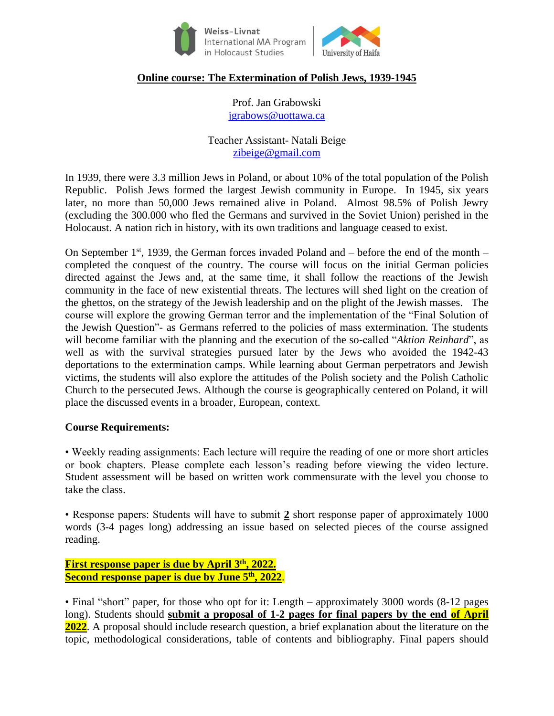

# University of Haifa

## **Online course: The Extermination of Polish Jews, 1939-1945**

Prof. Jan Grabowski [jgrabows@uottawa.ca](mailto:jgrabows@uottawa.ca)

Teacher Assistant- Natali Beige [zibeige@gmail.com](mailto:zibeige@gmail.com)

In 1939, there were 3.3 million Jews in Poland, or about 10% of the total population of the Polish Republic. Polish Jews formed the largest Jewish community in Europe. In 1945, six years later, no more than 50,000 Jews remained alive in Poland. Almost 98.5% of Polish Jewry (excluding the 300.000 who fled the Germans and survived in the Soviet Union) perished in the Holocaust. A nation rich in history, with its own traditions and language ceased to exist.

On September  $1^{st}$ , 1939, the German forces invaded Poland and – before the end of the month – completed the conquest of the country. The course will focus on the initial German policies directed against the Jews and, at the same time, it shall follow the reactions of the Jewish community in the face of new existential threats. The lectures will shed light on the creation of the ghettos, on the strategy of the Jewish leadership and on the plight of the Jewish masses. The course will explore the growing German terror and the implementation of the "Final Solution of the Jewish Question"- as Germans referred to the policies of mass extermination. The students will become familiar with the planning and the execution of the so-called "*Aktion Reinhard*", as well as with the survival strategies pursued later by the Jews who avoided the 1942-43 deportations to the extermination camps. While learning about German perpetrators and Jewish victims, the students will also explore the attitudes of the Polish society and the Polish Catholic Church to the persecuted Jews. Although the course is geographically centered on Poland, it will place the discussed events in a broader, European, context.

#### **Course Requirements:**

• Weekly reading assignments: Each lecture will require the reading of one or more short articles or book chapters. Please complete each lesson's reading before viewing the video lecture. Student assessment will be based on written work commensurate with the level you choose to take the class.

• Response papers: Students will have to submit **2** short response paper of approximately 1000 words (3-4 pages long) addressing an issue based on selected pieces of the course assigned reading.

**First response paper is due by April 3 th, 2022. Second response paper is due by June 5 th , 2022**.

• Final "short" paper, for those who opt for it: Length – approximately 3000 words (8-12 pages) long). Students should **submit a proposal of 1-2 pages for final papers by the end of April 2022**. A proposal should include research question, a brief explanation about the literature on the topic, methodological considerations, table of contents and bibliography. Final papers should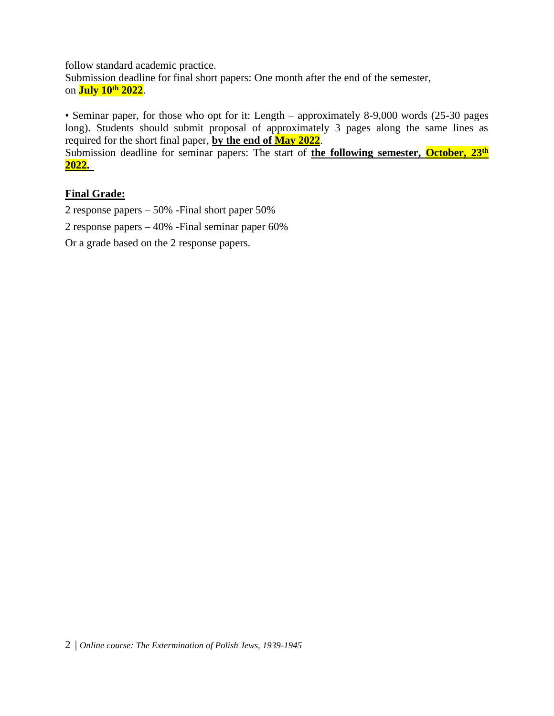follow standard academic practice. Submission deadline for final short papers: One month after the end of the semester, on **July 10 th 2022**.

• Seminar paper, for those who opt for it: Length – approximately 8-9,000 words (25-30 pages) long). Students should submit proposal of approximately 3 pages along the same lines as required for the short final paper, **by the end of May 2022**.

Submission deadline for seminar papers: The start of **the following semester, October, 23th 2022.** 

### **Final Grade:**

2 response papers – 50% -Final short paper 50%

2 response papers – 40% -Final seminar paper 60%

Or a grade based on the 2 response papers.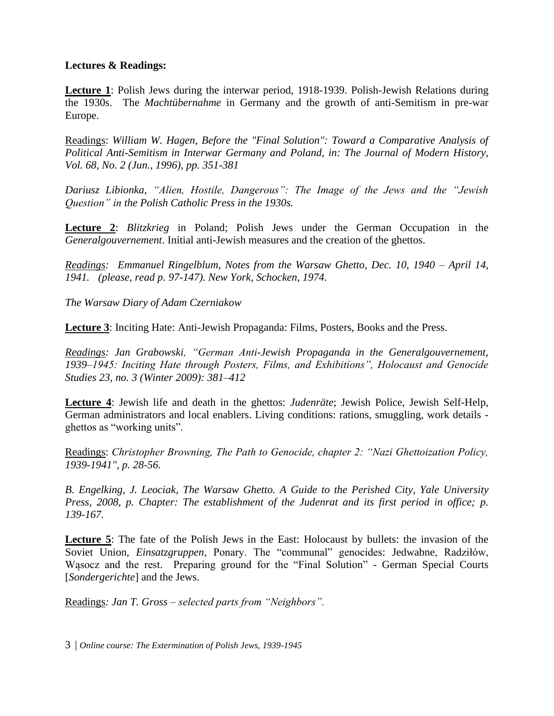#### **Lectures & Readings:**

**Lecture 1**: Polish Jews during the interwar period, 1918-1939. Polish-Jewish Relations during the 1930s. The *Machtübernahme* in Germany and the growth of anti-Semitism in pre-war Europe.

Readings: *William W. Hagen, Before the "Final Solution": Toward a Comparative Analysis of Political Anti-Semitism in Interwar Germany and Poland, in: The Journal of Modern History, Vol. 68, No. 2 (Jun., 1996), pp. 351-381*

*Dariusz Libionka, "Alien, Hostile, Dangerous": The Image of the Jews and the "Jewish Question" in the Polish Catholic Press in the 1930s.*

**Lecture 2**: *Blitzkrieg* in Poland; Polish Jews under the German Occupation in the *Generalgouvernement*. Initial anti-Jewish measures and the creation of the ghettos.

*Readings: Emmanuel Ringelblum, Notes from the Warsaw Ghetto, Dec. 10, 1940 – April 14, 1941. (please, read p. 97-147). New York, Schocken, 1974.*

*The Warsaw Diary of Adam Czerniakow*

**Lecture 3**: Inciting Hate: Anti-Jewish Propaganda: Films, Posters, Books and the Press.

*Readings: Jan Grabowski, "German Anti-Jewish Propaganda in the Generalgouvernement, 1939–1945: Inciting Hate through Posters, Films, and Exhibitions", Holocaust and Genocide Studies 23, no. 3 (Winter 2009): 381–412* 

**Lecture 4**: Jewish life and death in the ghettos: *Judenräte*; Jewish Police, Jewish Self-Help, German administrators and local enablers. Living conditions: rations, smuggling, work details ghettos as "working units".

Readings: *Christopher Browning, The Path to Genocide, chapter 2: "Nazi Ghettoization Policy, 1939-1941", p. 28-56.*

*B. Engelking, J. Leociak, The Warsaw Ghetto. A Guide to the Perished City, Yale University Press, 2008, p. Chapter: The establishment of the Judenrat and its first period in office; p. 139-167.*

**Lecture 5**: The fate of the Polish Jews in the East: Holocaust by bullets: the invasion of the Soviet Union, *Einsatzgruppen*, Ponary. The "communal" genocides: Jedwabne, Radziłów, Wąsocz and the rest. Preparing ground for the "Final Solution" - German Special Courts [*Sondergerichte*] and the Jews.

Readings*: Jan T. Gross – selected parts from "Neighbors".* 

3 | *Online course: The Extermination of Polish Jews, 1939-1945*